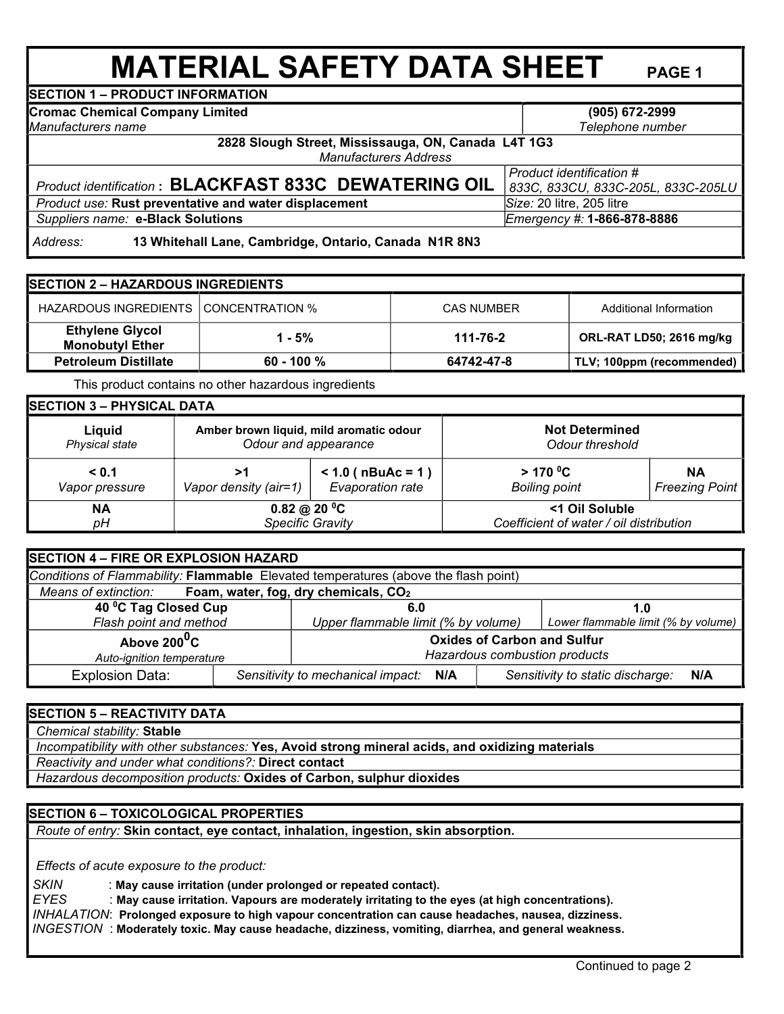# **MATERIAL SAFETY DATA SHEET PAGE 1 SECTION 1 – PRODUCT INFORMATION**

**(905) 672-2999** 

*Telephone number*

**Cromac Chemical Company Limited** 

*Manufacturers name*

**2828 Slough Street, Mississauga, ON, Canada L4T 1G3** *Manufacturers Address*

## *Product identification* **: BLACKFAST 833C DEWATERING OIL** *Product use:* **Rust preventative and water displacement <b>Signet Size:** 20 litre, 205 litre

*Product identification # 833C, 833CU, 833C-205L, 833C-205LU*

 *Suppliers name:* **e-Black Solutions** *Emergency #:* **1-866-878-8886**

 *Address:* **13 Whitehall Lane, Cambridge, Ontario, Canada N1R 8N3**

| <b>SECTION 2 - HAZARDOUS INGREDIENTS</b>         |              |                   |                           |  |  |
|--------------------------------------------------|--------------|-------------------|---------------------------|--|--|
| HAZARDOUS INGREDIENTS CONCENTRATION %            |              | <b>CAS NUMBER</b> | Additional Information    |  |  |
| <b>Ethylene Glycol</b><br><b>Monobutyl Ether</b> | 1 - 5%       | 111-76-2          | ORL-RAT LD50; 2616 mg/kg  |  |  |
| <b>Petroleum Distillate</b>                      | $60 - 100 %$ | 64742-47-8        | TLV; 100ppm (recommended) |  |  |

This product contains no other hazardous ingredients

| <b>SECTION 3 - PHYSICAL DATA</b> |                                         |                       |                                         |                       |  |  |
|----------------------------------|-----------------------------------------|-----------------------|-----------------------------------------|-----------------------|--|--|
| Liauid                           | Amber brown liquid, mild aromatic odour |                       | <b>Not Determined</b>                   |                       |  |  |
| Physical state                   | Odour and appearance                    |                       | Odour threshold                         |                       |  |  |
| < 0.1                            | >1                                      | $< 1.0$ ( nBuAc = 1 ) | $>$ 170 <sup>o</sup> C                  | <b>NA</b>             |  |  |
| Vapor pressure                   | Vapor density (air=1)                   | Evaporation rate      | <b>Boiling point</b>                    | <b>Freezing Point</b> |  |  |
| ΝA                               | 0.82 @ 20 °C                            |                       | <1 Oil Soluble                          |                       |  |  |
| pН                               | Specific Gravity                        |                       | Coefficient of water / oil distribution |                       |  |  |

| SECTION 4 - FIRE OR EXPLOSION HAZARD                                                |                                          |                                                                     |                                         |                                     |  |
|-------------------------------------------------------------------------------------|------------------------------------------|---------------------------------------------------------------------|-----------------------------------------|-------------------------------------|--|
| Conditions of Flammability: Flammable Elevated temperatures (above the flash point) |                                          |                                                                     |                                         |                                     |  |
| Means of extinction: Foam, water, fog, dry chemicals, CO <sub>2</sub>               |                                          |                                                                     |                                         |                                     |  |
| 40 °C Tag Closed Cup                                                                |                                          | 6.0                                                                 |                                         | 1.0                                 |  |
| Flash point and method                                                              |                                          | Upper flammable limit (% by volume)                                 |                                         | Lower flammable limit (% by volume) |  |
| Above 200 <sup>0</sup> C<br>Auto-ignition temperature                               |                                          | <b>Oxides of Carbon and Sulfur</b><br>Hazardous combustion products |                                         |                                     |  |
| <b>Explosion Data:</b>                                                              | Sensitivity to mechanical impact:<br>N/A |                                                                     | Sensitivity to static discharge:<br>N/A |                                     |  |

## **SECTION 5 – REACTIVITY DATA**

 *Chemical stability:* **Stable** 

 *Incompatibility with other substances:* **Yes, Avoid strong mineral acids, and oxidizing materials** 

 *Reactivity and under what conditions?:* **Direct contact**

 *Hazardous decomposition products:* **Oxides of Carbon, sulphur dioxides**

### **SECTION 6 – TOXICOLOGICAL PROPERTIES**

 *Route of entry:* **Skin contact, eye contact, inhalation, ingestion, skin absorption.**

 *Effects of acute exposure to the product:*

 *SKIN* : **May cause irritation (under prolonged or repeated contact).**

*EYES* : **May cause irritation. Vapours are moderately irritating to the eyes (at high concentrations).** 

 *INHALATION*: **Prolonged exposure to high vapour concentration can cause headaches, nausea, dizziness.**

*INGESTION* : **Moderately toxic. May cause headache, dizziness, vomiting, diarrhea, and general weakness.**